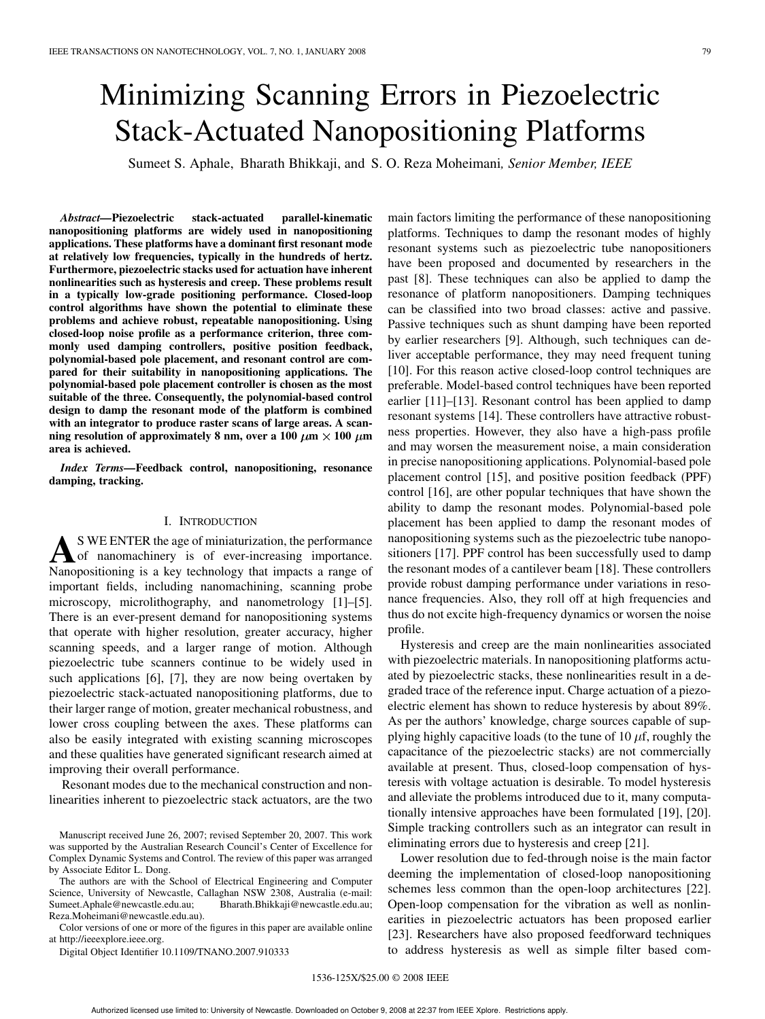# Minimizing Scanning Errors in Piezoelectric Stack-Actuated Nanopositioning Platforms

Sumeet S. Aphale, Bharath Bhikkaji, and S. O. Reza Moheimani*, Senior Member, IEEE*

*Abstract—***Piezoelectric stack-actuated parallel-kinematic nanopositioning platforms are widely used in nanopositioning applications. These platforms have a dominant first resonant mode at relatively low frequencies, typically in the hundreds of hertz. Furthermore, piezoelectric stacks used for actuation have inherent nonlinearities such as hysteresis and creep. These problems result in a typically low-grade positioning performance. Closed-loop control algorithms have shown the potential to eliminate these problems and achieve robust, repeatable nanopositioning. Using closed-loop noise profile as a performance criterion, three commonly used damping controllers, positive position feedback, polynomial-based pole placement, and resonant control are compared for their suitability in nanopositioning applications. The polynomial-based pole placement controller is chosen as the most suitable of the three. Consequently, the polynomial-based control design to damp the resonant mode of the platform is combined with an integrator to produce raster scans of large areas. A scan**ning resolution of approximately 8 nm, over a 100  $\mu$ m  $\times$  100  $\mu$ m **area is achieved.**

*Index Terms—***Feedback control, nanopositioning, resonance damping, tracking.**

# I. INTRODUCTION

**A** S WE ENTER the age of miniaturization, the performance of nanomachinery is of ever-increasing importance.<br>Nanopositioning is a key technology that impacts a range of S WE ENTER the age of miniaturization, the performance of nanomachinery is of ever-increasing importance. important fields, including nanomachining, scanning probe microscopy, microlithography, and nanometrology [1]–[5]. There is an ever-present demand for nanopositioning systems that operate with higher resolution, greater accuracy, higher scanning speeds, and a larger range of motion. Although piezoelectric tube scanners continue to be widely used in such applications [6], [7], they are now being overtaken by piezoelectric stack-actuated nanopositioning platforms, due to their larger range of motion, greater mechanical robustness, and lower cross coupling between the axes. These platforms can also be easily integrated with existing scanning microscopes and these qualities have generated significant research aimed at improving their overall performance.

Resonant modes due to the mechanical construction and nonlinearities inherent to piezoelectric stack actuators, are the two

Manuscript received June 26, 2007; revised September 20, 2007. This work was supported by the Australian Research Council's Center of Excellence for Complex Dynamic Systems and Control. The review of this paper was arranged by Associate Editor L. Dong.

The authors are with the School of Electrical Engineering and Computer Science, University of Newcastle, Callaghan NSW 2308, Australia (e-mail: Sumeet.Aphale@newcastle.edu.au; Bharath.Bhikkaji@newcastle.edu.au; Reza.Moheimani@newcastle.edu.au).

Color versions of one or more of the figures in this paper are available online at http://ieeexplore.ieee.org.

Digital Object Identifier 10.1109/TNANO.2007.910333

main factors limiting the performance of these nanopositioning platforms. Techniques to damp the resonant modes of highly resonant systems such as piezoelectric tube nanopositioners have been proposed and documented by researchers in the past [8]. These techniques can also be applied to damp the resonance of platform nanopositioners. Damping techniques can be classified into two broad classes: active and passive. Passive techniques such as shunt damping have been reported by earlier researchers [9]. Although, such techniques can deliver acceptable performance, they may need frequent tuning [10]. For this reason active closed-loop control techniques are preferable. Model-based control techniques have been reported earlier [11]–[13]. Resonant control has been applied to damp resonant systems [14]. These controllers have attractive robustness properties. However, they also have a high-pass profile and may worsen the measurement noise, a main consideration in precise nanopositioning applications. Polynomial-based pole placement control [15], and positive position feedback (PPF) control [16], are other popular techniques that have shown the ability to damp the resonant modes. Polynomial-based pole placement has been applied to damp the resonant modes of nanopositioning systems such as the piezoelectric tube nanopositioners [17]. PPF control has been successfully used to damp the resonant modes of a cantilever beam [18]. These controllers provide robust damping performance under variations in resonance frequencies. Also, they roll off at high frequencies and thus do not excite high-frequency dynamics or worsen the noise profile.

Hysteresis and creep are the main nonlinearities associated with piezoelectric materials. In nanopositioning platforms actuated by piezoelectric stacks, these nonlinearities result in a degraded trace of the reference input. Charge actuation of a piezoelectric element has shown to reduce hysteresis by about 89%. As per the authors' knowledge, charge sources capable of supplying highly capacitive loads (to the tune of 10  $\mu$ f, roughly the capacitance of the piezoelectric stacks) are not commercially available at present. Thus, closed-loop compensation of hysteresis with voltage actuation is desirable. To model hysteresis and alleviate the problems introduced due to it, many computationally intensive approaches have been formulated [19], [20]. Simple tracking controllers such as an integrator can result in eliminating errors due to hysteresis and creep [21].

Lower resolution due to fed-through noise is the main factor deeming the implementation of closed-loop nanopositioning schemes less common than the open-loop architectures [22]. Open-loop compensation for the vibration as well as nonlinearities in piezoelectric actuators has been proposed earlier [23]. Researchers have also proposed feedforward techniques to address hysteresis as well as simple filter based com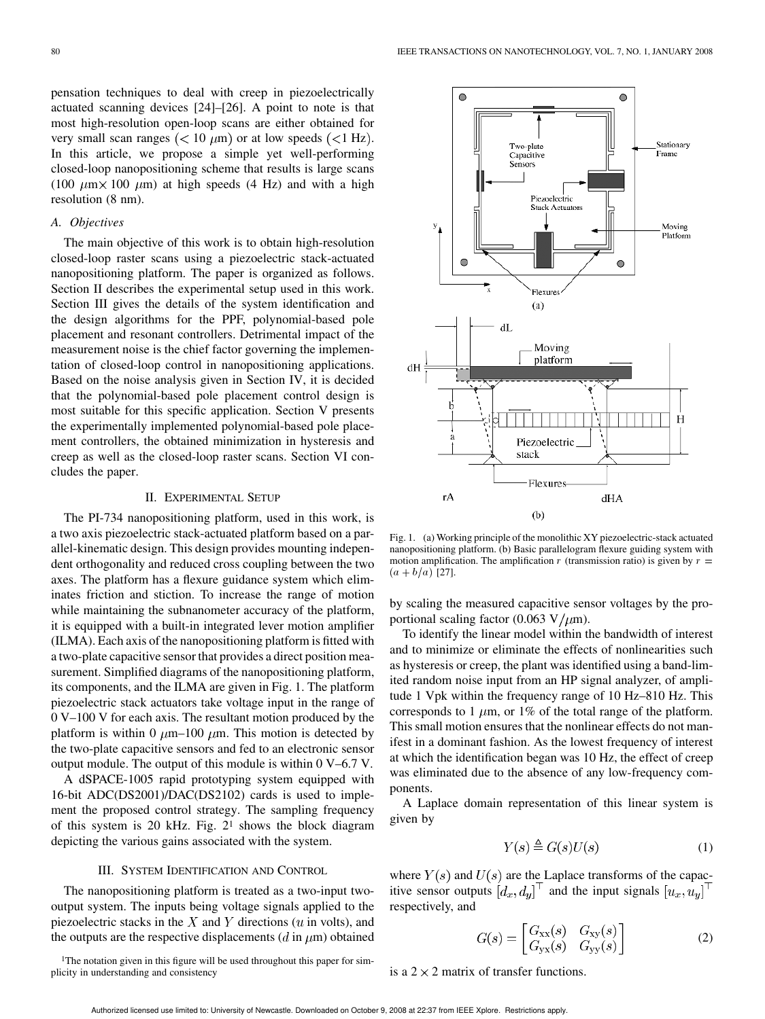80 IEEE TRANSACTIONS ON NANOTECHNOLOGY, VOL. 7, NO. 1, JANUARY 2008

pensation techniques to deal with creep in piezoelectrically actuated scanning devices [24]–[26]. A point to note is that most high-resolution open-loop scans are either obtained for very small scan ranges  $(< 10 \mu m)$  or at low speeds  $(< 1 Hz)$ . In this article, we propose a simple yet well-performing closed-loop nanopositioning scheme that results is large scans (100  $\mu$ m  $\times$  100  $\mu$ m) at high speeds (4 Hz) and with a high resolution (8 nm).

# *A. Objectives*

The main objective of this work is to obtain high-resolution closed-loop raster scans using a piezoelectric stack-actuated nanopositioning platform. The paper is organized as follows. Section II describes the experimental setup used in this work. Section III gives the details of the system identification and the design algorithms for the PPF, polynomial-based pole placement and resonant controllers. Detrimental impact of the measurement noise is the chief factor governing the implementation of closed-loop control in nanopositioning applications. Based on the noise analysis given in Section IV, it is decided that the polynomial-based pole placement control design is most suitable for this specific application. Section V presents the experimentally implemented polynomial-based pole placement controllers, the obtained minimization in hysteresis and creep as well as the closed-loop raster scans. Section VI concludes the paper.

#### II. EXPERIMENTAL SETUP

The PI-734 nanopositioning platform, used in this work, is a two axis piezoelectric stack-actuated platform based on a parallel-kinematic design. This design provides mounting independent orthogonality and reduced cross coupling between the two axes. The platform has a flexure guidance system which eliminates friction and stiction. To increase the range of motion while maintaining the subnanometer accuracy of the platform, it is equipped with a built-in integrated lever motion amplifier (ILMA). Each axis of the nanopositioning platform is fitted with a two-plate capacitive sensor that provides a direct position measurement. Simplified diagrams of the nanopositioning platform, its components, and the ILMA are given in Fig. 1. The platform piezoelectric stack actuators take voltage input in the range of 0 V–100 V for each axis. The resultant motion produced by the platform is within 0  $\mu$ m–100  $\mu$ m. This motion is detected by the two-plate capacitive sensors and fed to an electronic sensor output module. The output of this module is within 0 V–6.7 V.

A dSPACE-1005 rapid prototyping system equipped with 16-bit ADC(DS2001)/DAC(DS2102) cards is used to implement the proposed control strategy. The sampling frequency of this system is 20 kHz. Fig. 21 shows the block diagram depicting the various gains associated with the system.

# III. SYSTEM IDENTIFICATION AND CONTROL

The nanopositioning platform is treated as a two-input twooutput system. The inputs being voltage signals applied to the piezoelectric stacks in the  $X$  and  $Y$  directions ( $u$  in volts), and the outputs are the respective displacements ( $d$  in  $\mu$ m) obtained

<sup>1</sup>The notation given in this figure will be used throughout this paper for simplicity in understanding and consistency



Fig. 1. (a) Working principle of the monolithic XY piezoelectric-stack actuated nanopositioning platform. (b) Basic parallelogram flexure guiding system with motion amplification. The amplification r (transmission ratio) is given by  $r =$  $(a + b/a)$  [27].

by scaling the measured capacitive sensor voltages by the proportional scaling factor (0.063 V/ $\mu$ m).

To identify the linear model within the bandwidth of interest and to minimize or eliminate the effects of nonlinearities such as hysteresis or creep, the plant was identified using a band-limited random noise input from an HP signal analyzer, of amplitude 1 Vpk within the frequency range of 10 Hz–810 Hz. This corresponds to 1  $\mu$ m, or 1% of the total range of the platform. This small motion ensures that the nonlinear effects do not manifest in a dominant fashion. As the lowest frequency of interest at which the identification began was 10 Hz, the effect of creep was eliminated due to the absence of any low-frequency components.

A Laplace domain representation of this linear system is given by

$$
Y(s) \triangleq G(s)U(s) \tag{1}
$$

where  $Y(s)$  and  $U(s)$  are the Laplace transforms of the capacitive sensor outputs  $[d_x, d_y]^\top$  and the input signals  $[u_x, u_y]^\top$ respectively, and

$$
G(s) = \begin{bmatrix} G_{\text{xx}}(s) & G_{\text{xy}}(s) \\ G_{\text{yx}}(s) & G_{\text{yy}}(s) \end{bmatrix}
$$
 (2)

is a  $2 \times 2$  matrix of transfer functions.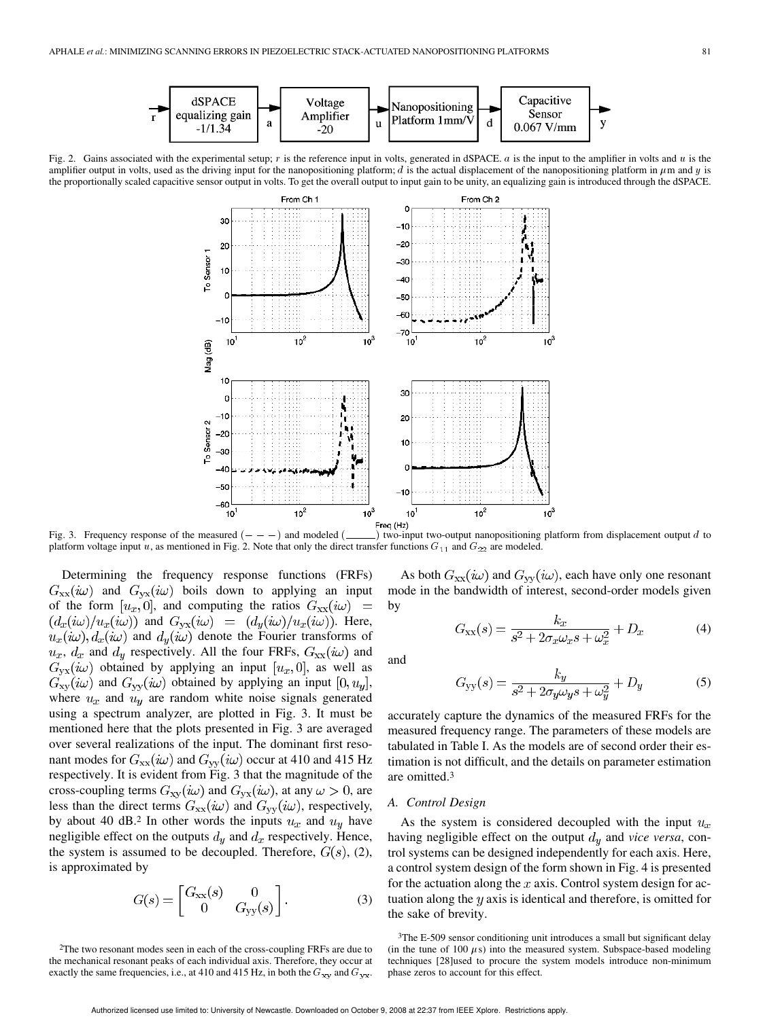

Fig. 2. Gains associated with the experimental setup;  $r$  is the reference input in volts, generated in dSPACE.  $a$  is the input to the amplifier in volts and  $u$  is the amplifier output in volts, used as the driving input for the nanopositioning platform; d is the actual displacement of the nanopositioning platform in  $\mu$ m and y is the proportionally scaled capacitive sensor output in volts. To get the overall output to input gain to be unity, an equalizing gain is introduced through the dSPACE.



platform voltage input u, as mentioned in Fig. 2. Note that only the direct transfer functions  $G_{11}$  and  $G_{22}$  are modeled.

Determining the frequency response functions (FRFs)  $G_{xx}(i\omega)$  and  $G_{yx}(i\omega)$  boils down to applying an input of the form  $[u_x, 0]$ , and computing the ratios  $G_{xx}(i\omega)$  =  $(d_x(i\omega)/u_x(i\omega))$  and  $G_{yx}(i\omega) = (d_y(i\omega)/u_x(i\omega))$ . Here,  $u_x(i\omega)$ ,  $d_x(i\omega)$  and  $d_y(i\omega)$  denote the Fourier transforms of  $u_x$ ,  $d_x$  and  $d_y$  respectively. All the four FRFs,  $G_{xx}(i\omega)$  and  $G_{yx}(i\omega)$  obtained by applying an input  $[u_x, 0]$ , as well as  $G_{xy}(i\omega)$  and  $G_{yy}(i\omega)$  obtained by applying an input  $[0, u_y]$ , where  $u_x$  and  $u_y$  are random white noise signals generated using a spectrum analyzer, are plotted in Fig. 3. It must be mentioned here that the plots presented in Fig. 3 are averaged over several realizations of the input. The dominant first resonant modes for  $G_{xx}(i\omega)$  and  $G_{yy}(i\omega)$  occur at 410 and 415 Hz respectively. It is evident from Fig. 3 that the magnitude of the cross-coupling terms  $G_{xy}(i\omega)$  and  $G_{yx}(i\omega)$ , at any  $\omega > 0$ , are less than the direct terms  $G_{xx}(i\omega)$  and  $G_{yy}(i\omega)$ , respectively, by about 40 dB.<sup>2</sup> In other words the inputs  $u_x$  and  $u_y$  have negligible effect on the outputs  $d_y$  and  $d_x$  respectively. Hence, the system is assumed to be decoupled. Therefore,  $G(s)$ , (2), is approximated by

$$
G(s) = \begin{bmatrix} G_{\text{xx}}(s) & 0 \\ 0 & G_{\text{yy}}(s) \end{bmatrix}.
$$
 (3)

As both  $G_{xx}(i\omega)$  and  $G_{yy}(i\omega)$ , each have only one resonant mode in the bandwidth of interest, second-order models given by

$$
G_{xx}(s) = \frac{k_x}{s^2 + 2\sigma_x \omega_x s + \omega_x^2} + D_x
$$
 (4)

and

$$
G_{yy}(s) = \frac{k_y}{s^2 + 2\sigma_y \omega_y s + \omega_y^2} + D_y \tag{5}
$$

accurately capture the dynamics of the measured FRFs for the measured frequency range. The parameters of these models are tabulated in Table I. As the models are of second order their estimation is not difficult, and the details on parameter estimation are omitted.3

#### *A. Control Design*

As the system is considered decoupled with the input  $u_x$ having negligible effect on the output  $d<sub>y</sub>$  and *vice versa*, control systems can be designed independently for each axis. Here, a control system design of the form shown in Fig. 4 is presented for the actuation along the  $x$  axis. Control system design for actuation along the  $y$  axis is identical and therefore, is omitted for the sake of brevity.

<sup>2</sup>The two resonant modes seen in each of the cross-coupling FRFs are due to the mechanical resonant peaks of each individual axis. Therefore, they occur at exactly the same frequencies, i.e., at 410 and 415 Hz, in both the  $G_{xy}$  and  $G_{yx}$ .

<sup>3</sup>The E-509 sensor conditioning unit introduces a small but significant delay (in the tune of 100  $\mu$ s) into the measured system. Subspace-based modeling techniques [28]used to procure the system models introduce non-minimum phase zeros to account for this effect.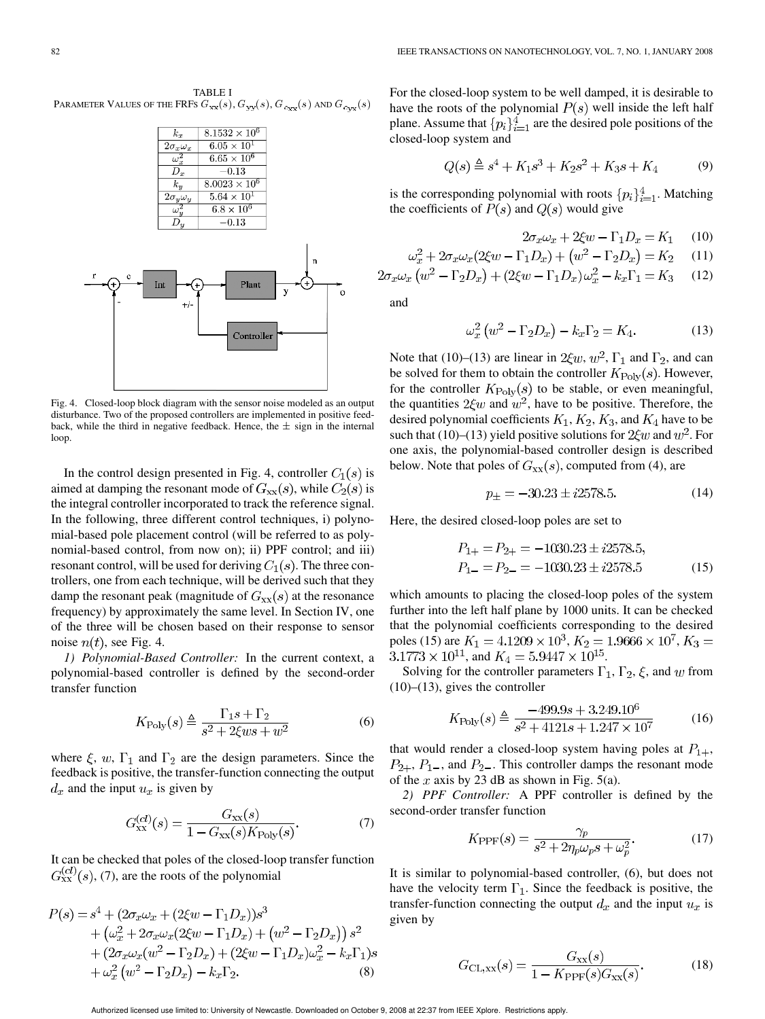TABLE I PARAMETER VALUES OF THE FRFS  $G_{{\bf x}{\bf x}}(s), G_{{\bf y}{\bf y}}(s), G_{{c}_{\bf xx}}(s)$  and  $G_{{c}_{\bf y}{\bf x}}(s)$ 



Fig. 4. Closed-loop block diagram with the sensor noise modeled as an output disturbance. Two of the proposed controllers are implemented in positive feedback, while the third in negative feedback. Hence, the  $\pm$  sign in the internal loop.

In the control design presented in Fig. 4, controller  $C_1(s)$  is aimed at damping the resonant mode of  $G_{xx}(s)$ , while  $C_2(s)$  is the integral controller incorporated to track the reference signal. In the following, three different control techniques, i) polynomial-based pole placement control (will be referred to as polynomial-based control, from now on); ii) PPF control; and iii) resonant control, will be used for deriving  $C_1(s)$ . The three controllers, one from each technique, will be derived such that they damp the resonant peak (magnitude of  $G_{xx}(s)$  at the resonance frequency) by approximately the same level. In Section IV, one of the three will be chosen based on their response to sensor noise  $n(t)$ , see Fig. 4.

*1) Polynomial-Based Controller:* In the current context, a polynomial-based controller is defined by the second-order transfer function

$$
K_{\text{Poly}}(s) \triangleq \frac{\Gamma_1 s + \Gamma_2}{s^2 + 2\xi ws + w^2} \tag{6}
$$

where  $\xi$ ,  $w$ ,  $\Gamma_1$  and  $\Gamma_2$  are the design parameters. Since the feedback is positive, the transfer-function connecting the output  $d_x$  and the input  $u_x$  is given by

$$
G_{\rm xx}^{(cl)}(s) = \frac{G_{\rm xx}(s)}{1 - G_{\rm xx}(s)K_{\rm Poly}(s)}.\t(7)
$$

It can be checked that poles of the closed-loop transfer function  $G_{XX}^{(cl)}(s)$ , (7), are the roots of the polynomial

$$
P(s) = s4 + (2\sigma_x \omega_x + (2\xi w - \Gamma_1 D_x))s3
$$
  
+  $(\omega_x^2 + 2\sigma_x \omega_x (2\xi w - \Gamma_1 D_x) + (w^2 - \Gamma_2 D_x)) s2$   
+  $(2\sigma_x \omega_x (w^2 - \Gamma_2 D_x) + (2\xi w - \Gamma_1 D_x) \omega_x^2 - k_x \Gamma_1)s$   
+  $\omega_x^2 (w^2 - \Gamma_2 D_x) - k_x \Gamma_2.$  (8)

For the closed-loop system to be well damped, it is desirable to have the roots of the polynomial  $P(s)$  well inside the left half plane. Assume that  $\{p_i\}_{i=1}^4$  are the desired pole positions of the closed-loop system and

$$
Q(s) \stackrel{\Delta}{=} s^4 + K_1 s^3 + K_2 s^2 + K_3 s + K_4 \tag{9}
$$

is the corresponding polynomial with roots  $\{p_i\}_{i=1}^4$ . Matching the coefficients of  $P(s)$  and  $Q(s)$  would give

$$
2\sigma_x \omega_x + 2\xi w - \Gamma_1 D_x = K_1 \quad (10)
$$

$$
\omega_x^2 + 2\sigma_x \omega_x (2\xi w - \Gamma_1 D_x) + \left(w^2 - \Gamma_2 D_x\right) = K_2 \tag{11}
$$

$$
2\sigma_x \omega_x \left( w^2 - \Gamma_2 D_x \right) + (2\xi w - \Gamma_1 D_x) \omega_x^2 - k_x \Gamma_1 = K_3 \tag{12}
$$

and

 $\epsilon$ 

$$
\omega_x^2 \left( w^2 - \Gamma_2 D_x \right) - k_x \Gamma_2 = K_4. \tag{13}
$$

Note that (10)–(13) are linear in  $2\xi w$ ,  $w^2$ ,  $\Gamma_1$  and  $\Gamma_2$ , and can be solved for them to obtain the controller  $K_{\text{Poly}}(s)$ . However, for the controller  $K_{\text{Poly}}(s)$  to be stable, or even meaningful, the quantities  $2\xi w$  and  $w^2$ , have to be positive. Therefore, the desired polynomial coefficients  $K_1, K_2, K_3$ , and  $K_4$  have to be such that (10)–(13) yield positive solutions for  $2\xi w$  and  $w^2$ . For one axis, the polynomial-based controller design is described below. Note that poles of  $G_{xx}(s)$ , computed from (4), are

$$
p_{\pm} = -30.23 \pm i2578.5. \tag{14}
$$

Here, the desired closed-loop poles are set to

$$
P_{1+} = P_{2+} = -1030.23 \pm i2578.5,
$$
  
\n
$$
P_{1-} = P_{2-} = -1030.23 \pm i2578.5
$$
 (15)

which amounts to placing the closed-loop poles of the system further into the left half plane by 1000 units. It can be checked that the polynomial coefficients corresponding to the desired poles (15) are  $K_1 = 4.1209 \times 10^3$ ,  $K_2 = 1.9666 \times 10^7$ ,  $K_3 =$  $3.1773 \times 10^{11}$ , and  $K_4 = 5.9447 \times 10^{15}$ .

Solving for the controller parameters  $\Gamma_1$ ,  $\Gamma_2$ ,  $\xi$ , and w from  $(10)$ – $(13)$ , gives the controller

$$
K_{\text{Poly}}(s) \triangleq \frac{-499.9s + 3.249.10^6}{s^2 + 4121s + 1.247 \times 10^7}
$$
(16)

that would render a closed-loop system having poles at  $P_{1+}$ ,  $P_{2+}$ ,  $P_{1-}$ , and  $P_{2-}$ . This controller damps the resonant mode of the x axis by 23 dB as shown in Fig. 5(a).

*2) PPF Controller:* A PPF controller is defined by the second-order transfer function

$$
K_{\text{PPF}}(s) = \frac{\gamma_p}{s^2 + 2\eta_p \omega_p s + \omega_p^2}.\tag{17}
$$

It is similar to polynomial-based controller, (6), but does not have the velocity term  $\Gamma_1$ . Since the feedback is positive, the transfer-function connecting the output  $d_x$  and the input  $u_x$  is given by

$$
G_{\text{CL,xx}}(s) = \frac{G_{\text{xx}}(s)}{1 - K_{\text{PPF}}(s)G_{\text{xx}}(s)}.
$$
 (18)

Authorized licensed use limited to: University of Newcastle. Downloaded on October 9, 2008 at 22:37 from IEEE Xplore. Restrictions apply.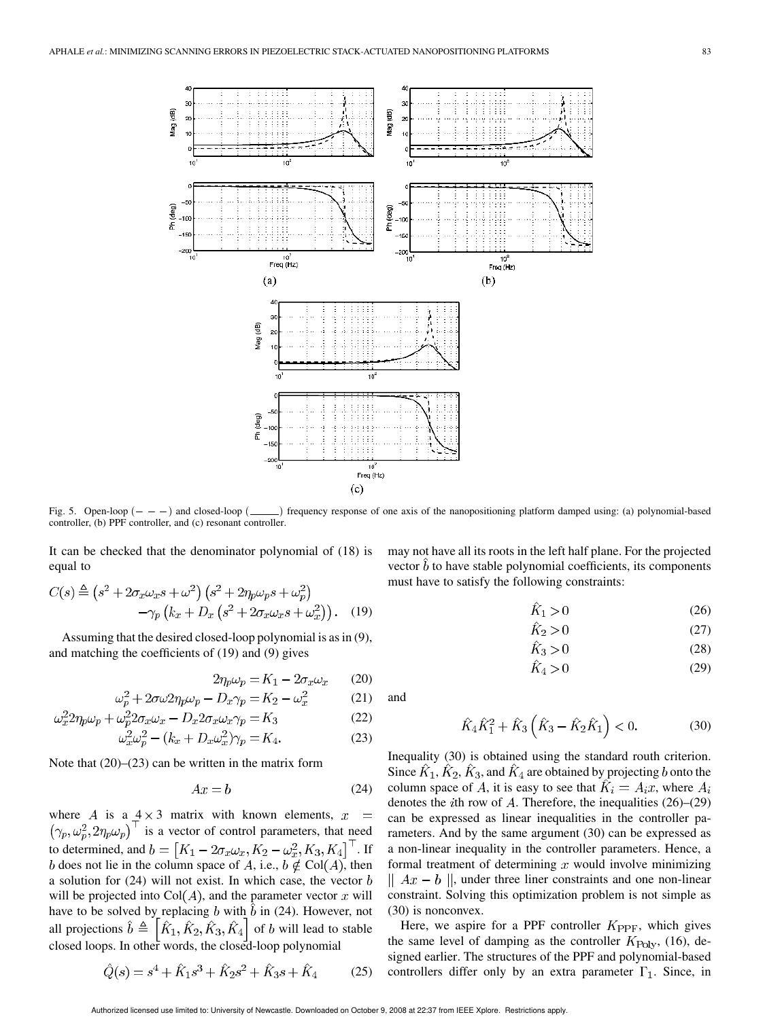

controller, (b) PPF controller, and (c) resonant controller.

It can be checked that the denominator polynomial of (18) is equal to

$$
C(s) \triangleq (s^2 + 2\sigma_x \omega_x s + \omega^2) (s^2 + 2\eta_p \omega_p s + \omega_p^2)
$$

$$
-\gamma_p (k_x + D_x (s^2 + 2\sigma_x \omega_x s + \omega_x^2)) . \quad (19)
$$

Assuming that the desired closed-loop polynomial is as in (9), and matching the coefficients of (19) and (9) gives

$$
2\eta_p \omega_p = K_1 - 2\sigma_x \omega_x \qquad (20)
$$

$$
\omega_p^2 + 2\sigma\omega 2\eta_p \omega_p - D_x \gamma_p = K_2 - \omega_x^2 \tag{21}
$$

$$
\omega_x^2 2\eta_p \omega_p + \omega_p^2 2\sigma_x \omega_x - D_x 2\sigma_x \omega_x \gamma_p = K_3 \tag{22}
$$

$$
\omega_x^2 \omega_p^2 - (k_x + D_x \omega_x^2) \gamma_p = K_4. \tag{23}
$$

Note that (20)–(23) can be written in the matrix form

$$
Ax = b \tag{24}
$$

where A is a  $4 \times 3$  matrix with known elements,  $x =$  $(\gamma_p, \omega_p^2, 2\eta_p\omega_p)^{\top}$  is a vector of control parameters, that need to determined, and  $b = [K_1 - 2\sigma_x \omega_x, K_2 - \omega_x^2, K_3, K_4]$ . If b does not lie in the column space of A, i.e.,  $b \notin \text{Col}(A)$ , then a solution for  $(24)$  will not exist. In which case, the vector  $b$ will be projected into  $Col(A)$ , and the parameter vector x will have to be solved by replacing b with  $\hat{b}$  in (24). However, not all projections  $\hat{b} \triangleq [\hat{K}_1, \hat{K}_2, \hat{K}_3, \hat{K}_4]$  of b will lead to stable closed loops. In other words, the closed-loop polynomial

$$
\hat{Q}(s) = s^4 + \hat{K}_1 s^3 + \hat{K}_2 s^2 + \hat{K}_3 s + \hat{K}_4 \tag{25}
$$

may not have all its roots in the left half plane. For the projected vector  $\bar{b}$  to have stable polynomial coefficients, its components must have to satisfy the following constraints:

$$
K_1 > 0 \tag{26}
$$

$$
K_2 > 0 \tag{27}
$$

$$
K_3 > 0 \tag{28}
$$

$$
K_4 > 0\tag{29}
$$

and

$$
\hat{K}_4 \hat{K}_1^2 + \hat{K}_3 \left( \hat{K}_3 - \hat{K}_2 \hat{K}_1 \right) < 0. \tag{30}
$$

Inequality (30) is obtained using the standard routh criterion. Since  $\hat{K}_1$ ,  $\hat{K}_2$ ,  $\hat{K}_3$ , and  $\hat{K}_4$  are obtained by projecting b onto the column space of A, it is easy to see that  $K_i = A_i x$ , where  $A_i$ denotes the *i*th row of  $\tilde{A}$ . Therefore, the inequalities (26)–(29) can be expressed as linear inequalities in the controller parameters. And by the same argument (30) can be expressed as a non-linear inequality in the controller parameters. Hence, a formal treatment of determining  $x$  would involve minimizing  $|| Ax - b||$ , under three liner constraints and one non-linear constraint. Solving this optimization problem is not simple as (30) is nonconvex.

Here, we aspire for a PPF controller  $K_{\text{PPP}}$ , which gives the same level of damping as the controller  $K_{\text{Poly}}$ , (16), designed earlier. The structures of the PPF and polynomial-based controllers differ only by an extra parameter  $\Gamma_1$ . Since, in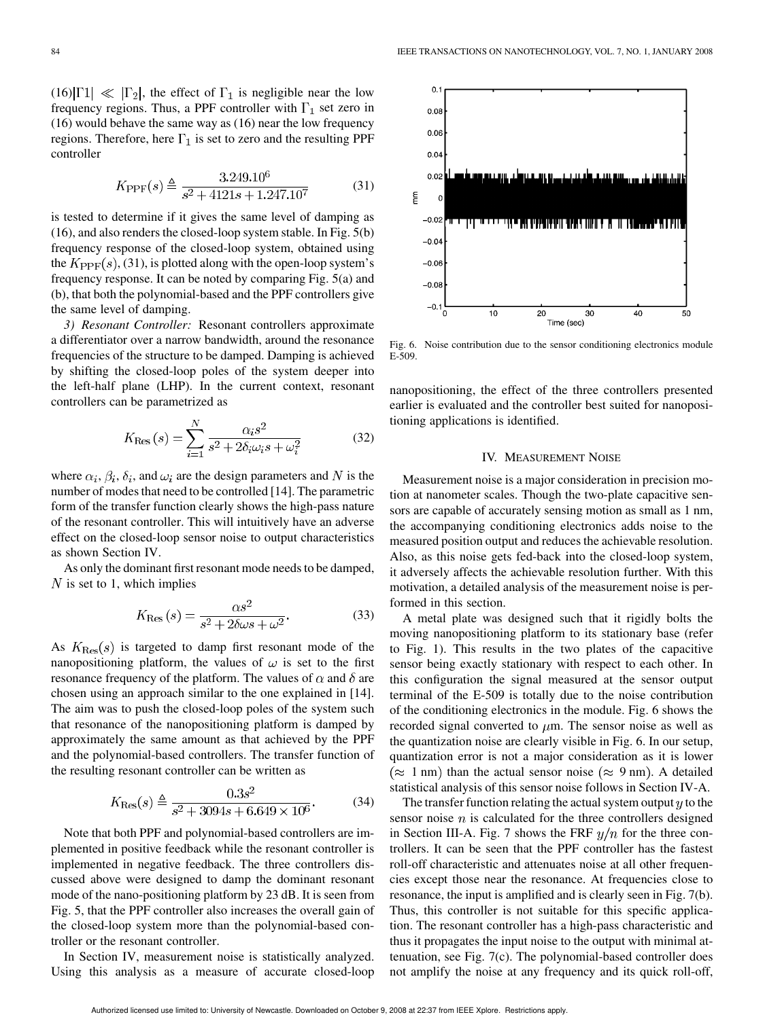$(16)|\Gamma1| \ll |\Gamma_2|$ , the effect of  $\Gamma_1$  is negligible near the low frequency regions. Thus, a PPF controller with  $\Gamma_1$  set zero in (16) would behave the same way as (16) near the low frequency regions. Therefore, here  $\Gamma_1$  is set to zero and the resulting PPF controller

$$
K_{\rm PPF}(s) \triangleq \frac{3.249.10^6}{s^2 + 4121s + 1.247.10^7}
$$
 (31)

is tested to determine if it gives the same level of damping as (16), and also renders the closed-loop system stable. In Fig. 5(b) frequency response of the closed-loop system, obtained using the  $K_{\text{PPF}}(s)$ , (31), is plotted along with the open-loop system's frequency response. It can be noted by comparing Fig. 5(a) and (b), that both the polynomial-based and the PPF controllers give the same level of damping.

*3) Resonant Controller:* Resonant controllers approximate a differentiator over a narrow bandwidth, around the resonance frequencies of the structure to be damped. Damping is achieved by shifting the closed-loop poles of the system deeper into the left-half plane (LHP). In the current context, resonant controllers can be parametrized as

$$
K_{\text{Res}}(s) = \sum_{i=1}^{N} \frac{\alpha_i s^2}{s^2 + 2\delta_i \omega_i s + \omega_i^2}
$$
(32)

where  $\alpha_i, \beta_i, \delta_i$ , and  $\omega_i$  are the design parameters and N is the number of modes that need to be controlled [14]. The parametric form of the transfer function clearly shows the high-pass nature of the resonant controller. This will intuitively have an adverse effect on the closed-loop sensor noise to output characteristics as shown Section IV.

As only the dominant first resonant mode needs to be damped,  $N$  is set to 1, which implies

$$
K_{\text{Res}}\left(s\right) = \frac{\alpha s^2}{s^2 + 2\delta\omega s + \omega^2}.\tag{33}
$$

As  $K_{\text{Res}}(s)$  is targeted to damp first resonant mode of the nanopositioning platform, the values of  $\omega$  is set to the first resonance frequency of the platform. The values of  $\alpha$  and  $\delta$  are chosen using an approach similar to the one explained in [14]. The aim was to push the closed-loop poles of the system such that resonance of the nanopositioning platform is damped by approximately the same amount as that achieved by the PPF and the polynomial-based controllers. The transfer function of the resulting resonant controller can be written as

$$
K_{\text{Res}}(s) \triangleq \frac{0.3s^2}{s^2 + 3094s + 6.649 \times 10^6}.
$$
 (34)

Note that both PPF and polynomial-based controllers are implemented in positive feedback while the resonant controller is implemented in negative feedback. The three controllers discussed above were designed to damp the dominant resonant mode of the nano-positioning platform by 23 dB. It is seen from Fig. 5, that the PPF controller also increases the overall gain of the closed-loop system more than the polynomial-based controller or the resonant controller.

In Section IV, measurement noise is statistically analyzed. Using this analysis as a measure of accurate closed-loop



Fig. 6. Noise contribution due to the sensor conditioning electronics module E-509.

nanopositioning, the effect of the three controllers presented earlier is evaluated and the controller best suited for nanopositioning applications is identified.

### IV. MEASUREMENT NOISE

Measurement noise is a major consideration in precision motion at nanometer scales. Though the two-plate capacitive sensors are capable of accurately sensing motion as small as 1 nm, the accompanying conditioning electronics adds noise to the measured position output and reduces the achievable resolution. Also, as this noise gets fed-back into the closed-loop system, it adversely affects the achievable resolution further. With this motivation, a detailed analysis of the measurement noise is performed in this section.

A metal plate was designed such that it rigidly bolts the moving nanopositioning platform to its stationary base (refer to Fig. 1). This results in the two plates of the capacitive sensor being exactly stationary with respect to each other. In this configuration the signal measured at the sensor output terminal of the E-509 is totally due to the noise contribution of the conditioning electronics in the module. Fig. 6 shows the recorded signal converted to  $\mu$ m. The sensor noise as well as the quantization noise are clearly visible in Fig. 6. In our setup, quantization error is not a major consideration as it is lower  $(\approx 1 \text{ nm})$  than the actual sensor noise  $(\approx 9 \text{ nm})$ . A detailed statistical analysis of this sensor noise follows in Section IV-A.

The transfer function relating the actual system output  $y$  to the sensor noise  $n$  is calculated for the three controllers designed in Section III-A. Fig. 7 shows the FRF  $y/n$  for the three controllers. It can be seen that the PPF controller has the fastest roll-off characteristic and attenuates noise at all other frequencies except those near the resonance. At frequencies close to resonance, the input is amplified and is clearly seen in Fig. 7(b). Thus, this controller is not suitable for this specific application. The resonant controller has a high-pass characteristic and thus it propagates the input noise to the output with minimal attenuation, see Fig. 7(c). The polynomial-based controller does not amplify the noise at any frequency and its quick roll-off,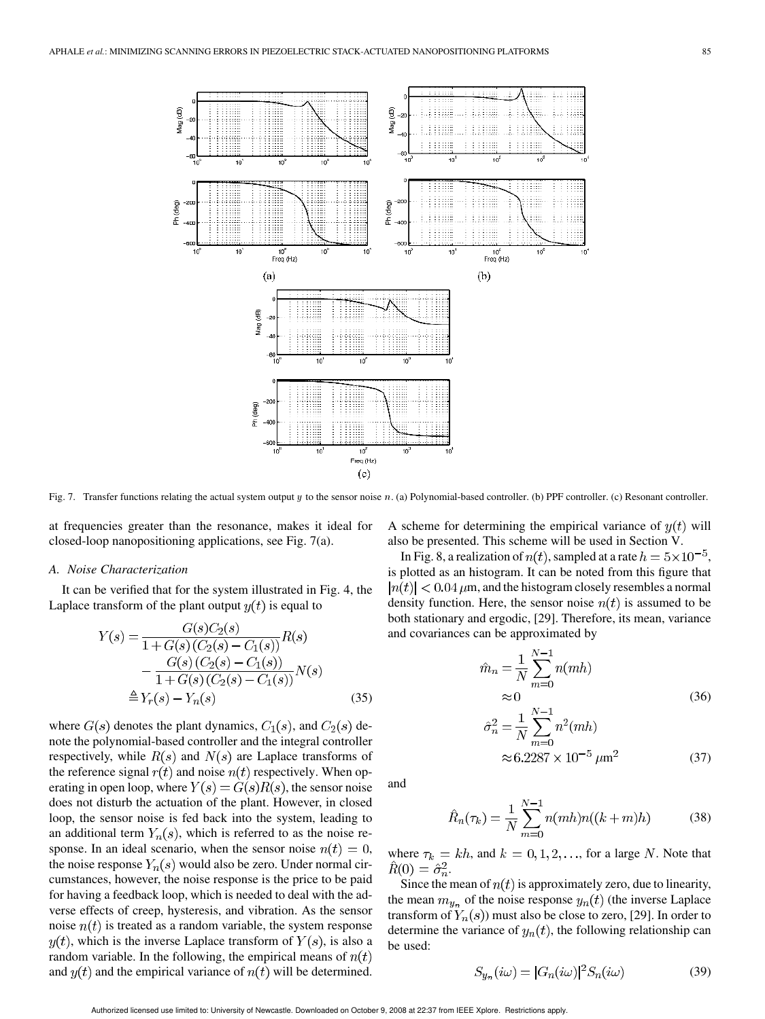

Fig. 7. Transfer functions relating the actual system output y to the sensor noise n. (a) Polynomial-based controller. (b) PPF controller. (c) Resonant controller.

at frequencies greater than the resonance, makes it ideal for closed-loop nanopositioning applications, see Fig. 7(a).

#### *A. Noise Characterization*

It can be verified that for the system illustrated in Fig. 4, the Laplace transform of the plant output  $y(t)$  is equal to

$$
Y(s) = \frac{G(s)C_2(s)}{1 + G(s)(C_2(s) - C_1(s))}R(s)
$$
  
- 
$$
\frac{G(s)(C_2(s) - C_1(s))}{1 + G(s)(C_2(s) - C_1(s))}N(s)
$$
  

$$
\triangleq Y_r(s) - Y_n(s)
$$
(35)

where  $G(s)$  denotes the plant dynamics,  $C_1(s)$ , and  $C_2(s)$  denote the polynomial-based controller and the integral controller respectively, while  $R(s)$  and  $N(s)$  are Laplace transforms of the reference signal  $r(t)$  and noise  $n(t)$  respectively. When operating in open loop, where  $Y(s) = G(s)R(s)$ , the sensor noise does not disturb the actuation of the plant. However, in closed loop, the sensor noise is fed back into the system, leading to an additional term  $Y_n(s)$ , which is referred to as the noise response. In an ideal scenario, when the sensor noise  $n(t) = 0$ , the noise response  $Y_n(s)$  would also be zero. Under normal circumstances, however, the noise response is the price to be paid for having a feedback loop, which is needed to deal with the adverse effects of creep, hysteresis, and vibration. As the sensor noise  $n(t)$  is treated as a random variable, the system response  $y(t)$ , which is the inverse Laplace transform of  $Y(s)$ , is also a random variable. In the following, the empirical means of  $n(t)$ and  $y(t)$  and the empirical variance of  $n(t)$  will be determined.

A scheme for determining the empirical variance of  $y(t)$  will also be presented. This scheme will be used in Section V.

In Fig. 8, a realization of  $n(t)$ , sampled at a rate  $h = 5 \times 10^{-5}$ , is plotted as an histogram. It can be noted from this figure that  $|n(t)| < 0.04 \,\mu$ m, and the histogram closely resembles a normal density function. Here, the sensor noise  $n(t)$  is assumed to be both stationary and ergodic, [29]. Therefore, its mean, variance and covariances can be approximated by

$$
\hat{m}_n = \frac{1}{N} \sum_{m=0}^{N-1} n(mh)
$$
  
\n
$$
\approx 0
$$
 (36)

$$
\hat{\sigma}_n^2 = \frac{1}{N} \sum_{m=0}^{N-1} n^2 (mh)
$$
  
 
$$
\approx 6.2287 \times 10^{-5} \,\mu\text{m}^2 \tag{37}
$$

and

$$
\hat{R}_n(\tau_k) = \frac{1}{N} \sum_{m=0}^{N-1} n(mh)n((k+m)h)
$$
\n(38)

where  $\tau_k = kh$ , and  $k = 0, 1, 2, \ldots$ , for a large N. Note that  $\hat{R}(0) = \hat{\sigma}_n^2.$ 

Since the mean of  $n(t)$  is approximately zero, due to linearity, the mean  $m_{y_n}$  of the noise response  $y_n(t)$  (the inverse Laplace transform of  $Y_n(s)$  must also be close to zero, [29]. In order to determine the variance of  $y_n(t)$ , the following relationship can be used:

 $\overline{1}$ 

$$
S_{y_n}(i\omega) = |G_n(i\omega)|^2 S_n(i\omega)
$$
\n(39)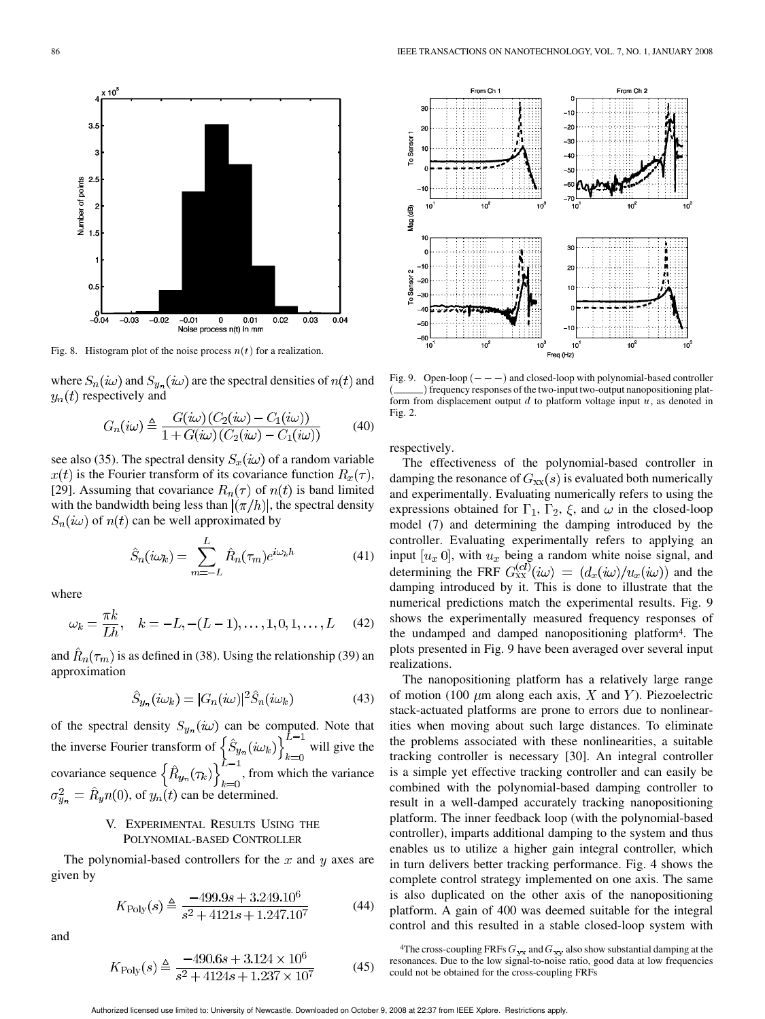

Fig. 8. Histogram plot of the noise process  $n(t)$  for a realization.

where  $S_n(i\omega)$  and  $S_{y_n}(i\omega)$  are the spectral densities of  $n(t)$  and  $y_n(t)$  respectively and

$$
G_n(i\omega) \triangleq \frac{G(i\omega) (C_2(i\omega) - C_1(i\omega))}{1 + G(i\omega) (C_2(i\omega) - C_1(i\omega))}
$$
(40)

see also (35). The spectral density  $S_x(i\omega)$  of a random variable  $x(t)$  is the Fourier transform of its covariance function  $R_x(\tau)$ , [29]. Assuming that covariance  $R_n(\tau)$  of  $n(t)$  is band limited with the bandwidth being less than  $(\pi/h)$ , the spectral density  $S_n(i\omega)$  of  $n(t)$  can be well approximated by

$$
\hat{S}_n(i\omega_k) = \sum_{m=-L}^{L} \hat{R}_n(\tau_m) e^{i\omega_k h} \tag{41}
$$

where

$$
\omega_k = \frac{\pi k}{Lh}, \quad k = -L, -(L-1), \dots, 1, 0, 1, \dots, L \quad (42)
$$

and  $\hat{R}_n(\tau_m)$  is as defined in (38). Using the relationship (39) an approximation

$$
\hat{S}_{y_n}(i\omega_k) = |G_n(i\omega)|^2 \hat{S}_n(i\omega_k)
$$
\n(43)

of the spectral density  $S_{u_n}(i\omega)$  can be computed. Note that the inverse Fourier transform of  $\{S_{u_n}(i\omega_k)\}\$  will give the covariance sequence  $\{R_{y_n}(\tau_k)\}\$ , from which the variance  $\sigma_{y_n}^2 = \hat{R}_y n(0)$ , of  $y_n(t)$  can be determined.

# V. EXPERIMENTAL RESULTS USING THE POLYNOMIAL-BASED CONTROLLER

The polynomial-based controllers for the  $x$  and  $y$  axes are given by

$$
K_{\text{Poly}}(s) \triangleq \frac{-499.9s + 3.249.10^{\circ}}{s^2 + 4121s + 1.247.10^7} \tag{44}
$$

and

$$
K_{\text{Poly}}(s) \triangleq \frac{-490.6s + 3.124 \times 10^6}{s^2 + 4124s + 1.237 \times 10^7}
$$
(45)



( ) frequency responses of the two-input two-output nanopositioning platform from displacement output  $d$  to platform voltage input  $u$ , as denoted in Fig. 2.

respectively.

The effectiveness of the polynomial-based controller in damping the resonance of  $G_{xx}(s)$  is evaluated both numerically and experimentally. Evaluating numerically refers to using the expressions obtained for  $\Gamma_1$ ,  $\Gamma_2$ ,  $\xi$ , and  $\omega$  in the closed-loop model (7) and determining the damping introduced by the controller. Evaluating experimentally refers to applying an input  $[u_x\ 0]$ , with  $u_x$  being a random white noise signal, and determining the FRF  $G_{XX}^{(cl)}(i\omega) = (d_x(i\omega)/u_x(i\omega))$  and the damping introduced by it. This is done to illustrate that the numerical predictions match the experimental results. Fig. 9 shows the experimentally measured frequency responses of the undamped and damped nanopositioning platform4. The plots presented in Fig. 9 have been averaged over several input realizations.

The nanopositioning platform has a relatively large range of motion (100  $\mu$ m along each axis, X and Y). Piezoelectric stack-actuated platforms are prone to errors due to nonlinearities when moving about such large distances. To eliminate the problems associated with these nonlinearities, a suitable tracking controller is necessary [30]. An integral controller is a simple yet effective tracking controller and can easily be combined with the polynomial-based damping controller to result in a well-damped accurately tracking nanopositioning platform. The inner feedback loop (with the polynomial-based controller), imparts additional damping to the system and thus enables us to utilize a higher gain integral controller, which in turn delivers better tracking performance. Fig. 4 shows the complete control strategy implemented on one axis. The same is also duplicated on the other axis of the nanopositioning platform. A gain of 400 was deemed suitable for the integral control and this resulted in a stable closed-loop system with

<sup>4</sup>The cross-coupling FRFs  $G_{yx}$  and  $G_{xy}$  also show substantial damping at the resonances. Due to the low signal-to-noise ratio, good data at low frequencies could not be obtained for the cross-coupling FRFs

Authorized licensed use limited to: University of Newcastle. Downloaded on October 9, 2008 at 22:37 from IEEE Xplore. Restrictions apply.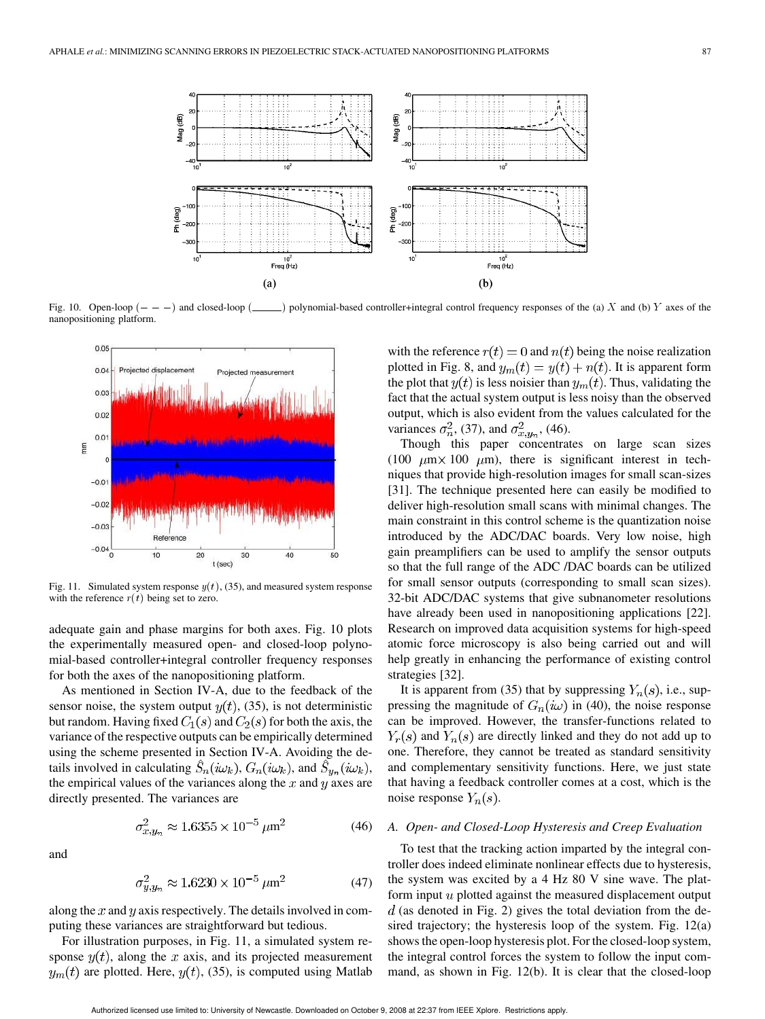

nanopositioning platform.



Fig. 11. Simulated system response  $y(t)$ , (35), and measured system response with the reference  $r(t)$  being set to zero.

adequate gain and phase margins for both axes. Fig. 10 plots the experimentally measured open- and closed-loop polynomial-based controller+integral controller frequency responses for both the axes of the nanopositioning platform.

As mentioned in Section IV-A, due to the feedback of the sensor noise, the system output  $y(t)$ , (35), is not deterministic but random. Having fixed  $C_1(s)$  and  $C_2(s)$  for both the axis, the variance of the respective outputs can be empirically determined using the scheme presented in Section IV-A. Avoiding the details involved in calculating  $\hat{S}_n(i\omega_k)$ ,  $G_n(i\omega_k)$ , and  $\hat{S}_{y_n}(i\omega_k)$ , the empirical values of the variances along the  $x$  and  $y$  axes are directly presented. The variances are

$$
\sigma_{x,y_n}^2 \approx 1.6355 \times 10^{-5} \,\mu\text{m}^2 \tag{46}
$$

 $\sigma_{u.u_n}^2 \approx 1.6230 \times 10^{-5} \ \mu \text{m}^2$  (47)

along the  $x$  and  $y$  axis respectively. The details involved in computing these variances are straightforward but tedious.

and

For illustration purposes, in Fig. 11, a simulated system response  $y(t)$ , along the x axis, and its projected measurement  $y_m(t)$  are plotted. Here,  $y(t)$ , (35), is computed using Matlab with the reference  $r(t) = 0$  and  $n(t)$  being the noise realization plotted in Fig. 8, and  $y_m(t) = y(t) + n(t)$ . It is apparent form the plot that  $y(t)$  is less noisier than  $y_m(t)$ . Thus, validating the fact that the actual system output is less noisy than the observed output, which is also evident from the values calculated for the variances  $\sigma_n^2$ , (37), and  $\sigma_{x,y_n}^2$ , (46).

Though this paper concentrates on large scan sizes (100  $\mu$ m × 100  $\mu$ m), there is significant interest in techniques that provide high-resolution images for small scan-sizes [31]. The technique presented here can easily be modified to deliver high-resolution small scans with minimal changes. The main constraint in this control scheme is the quantization noise introduced by the ADC/DAC boards. Very low noise, high gain preamplifiers can be used to amplify the sensor outputs so that the full range of the ADC /DAC boards can be utilized for small sensor outputs (corresponding to small scan sizes). 32-bit ADC/DAC systems that give subnanometer resolutions have already been used in nanopositioning applications [22]. Research on improved data acquisition systems for high-speed atomic force microscopy is also being carried out and will help greatly in enhancing the performance of existing control strategies [32].

It is apparent from (35) that by suppressing  $Y_n(s)$ , i.e., suppressing the magnitude of  $G_n(i\omega)$  in (40), the noise response can be improved. However, the transfer-functions related to  $Y_r(s)$  and  $Y_n(s)$  are directly linked and they do not add up to one. Therefore, they cannot be treated as standard sensitivity and complementary sensitivity functions. Here, we just state that having a feedback controller comes at a cost, which is the noise response  $Y_n(s)$ .

# *A. Open- and Closed-Loop Hysteresis and Creep Evaluation*

To test that the tracking action imparted by the integral controller does indeed eliminate nonlinear effects due to hysteresis, the system was excited by a 4 Hz 80 V sine wave. The platform input  $u$  plotted against the measured displacement output  $d$  (as denoted in Fig. 2) gives the total deviation from the desired trajectory; the hysteresis loop of the system. Fig. 12(a) shows the open-loop hysteresis plot. For the closed-loop system, the integral control forces the system to follow the input command, as shown in Fig. 12(b). It is clear that the closed-loop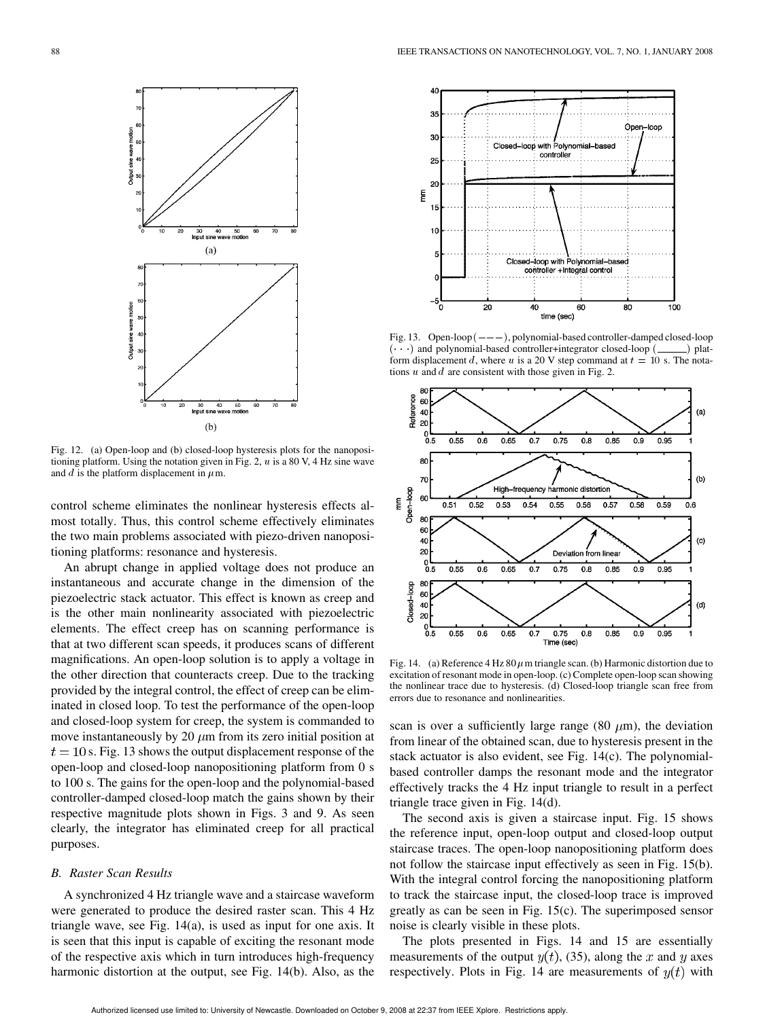

Fig. 12. (a) Open-loop and (b) closed-loop hysteresis plots for the nanopositioning platform. Using the notation given in Fig. 2,  $u$  is a 80 V, 4 Hz sine wave and  $d$  is the platform displacement in  $\mu$ m.

control scheme eliminates the nonlinear hysteresis effects almost totally. Thus, this control scheme effectively eliminates the two main problems associated with piezo-driven nanopositioning platforms: resonance and hysteresis.

An abrupt change in applied voltage does not produce an instantaneous and accurate change in the dimension of the piezoelectric stack actuator. This effect is known as creep and is the other main nonlinearity associated with piezoelectric elements. The effect creep has on scanning performance is that at two different scan speeds, it produces scans of different magnifications. An open-loop solution is to apply a voltage in the other direction that counteracts creep. Due to the tracking provided by the integral control, the effect of creep can be eliminated in closed loop. To test the performance of the open-loop and closed-loop system for creep, the system is commanded to move instantaneously by 20  $\mu$ m from its zero initial position at  $t = 10$  s. Fig. 13 shows the output displacement response of the open-loop and closed-loop nanopositioning platform from 0 s to 100 s. The gains for the open-loop and the polynomial-based controller-damped closed-loop match the gains shown by their respective magnitude plots shown in Figs. 3 and 9. As seen clearly, the integrator has eliminated creep for all practical purposes.

# *B. Raster Scan Results*

A synchronized 4 Hz triangle wave and a staircase waveform were generated to produce the desired raster scan. This 4 Hz triangle wave, see Fig. 14(a), is used as input for one axis. It is seen that this input is capable of exciting the resonant mode of the respective axis which in turn introduces high-frequency harmonic distortion at the output, see Fig. 14(b). Also, as the



Fig. 13. Open-loop  $(---)$ , polynomial-based controller-damped closed-loop  $(\cdot \cdot \cdot)$  and polynomial-based controller+integrator closed-loop  $(\_\_ )$  platform displacement d, where u is a 20 V step command at  $t = 10$  s. The notations  $u$  and  $d$  are consistent with those given in Fig. 2.



Fig. 14. (a) Reference 4 Hz 80  $\mu$ m triangle scan. (b) Harmonic distortion due to excitation of resonant mode in open-loop. (c) Complete open-loop scan showing the nonlinear trace due to hysteresis. (d) Closed-loop triangle scan free from errors due to resonance and nonlinearities.

scan is over a sufficiently large range (80  $\mu$ m), the deviation from linear of the obtained scan, due to hysteresis present in the stack actuator is also evident, see Fig. 14(c). The polynomialbased controller damps the resonant mode and the integrator effectively tracks the 4 Hz input triangle to result in a perfect triangle trace given in Fig. 14(d).

The second axis is given a staircase input. Fig. 15 shows the reference input, open-loop output and closed-loop output staircase traces. The open-loop nanopositioning platform does not follow the staircase input effectively as seen in Fig. 15(b). With the integral control forcing the nanopositioning platform to track the staircase input, the closed-loop trace is improved greatly as can be seen in Fig. 15(c). The superimposed sensor noise is clearly visible in these plots.

The plots presented in Figs. 14 and 15 are essentially measurements of the output  $y(t)$ , (35), along the x and y axes respectively. Plots in Fig. 14 are measurements of  $y(t)$  with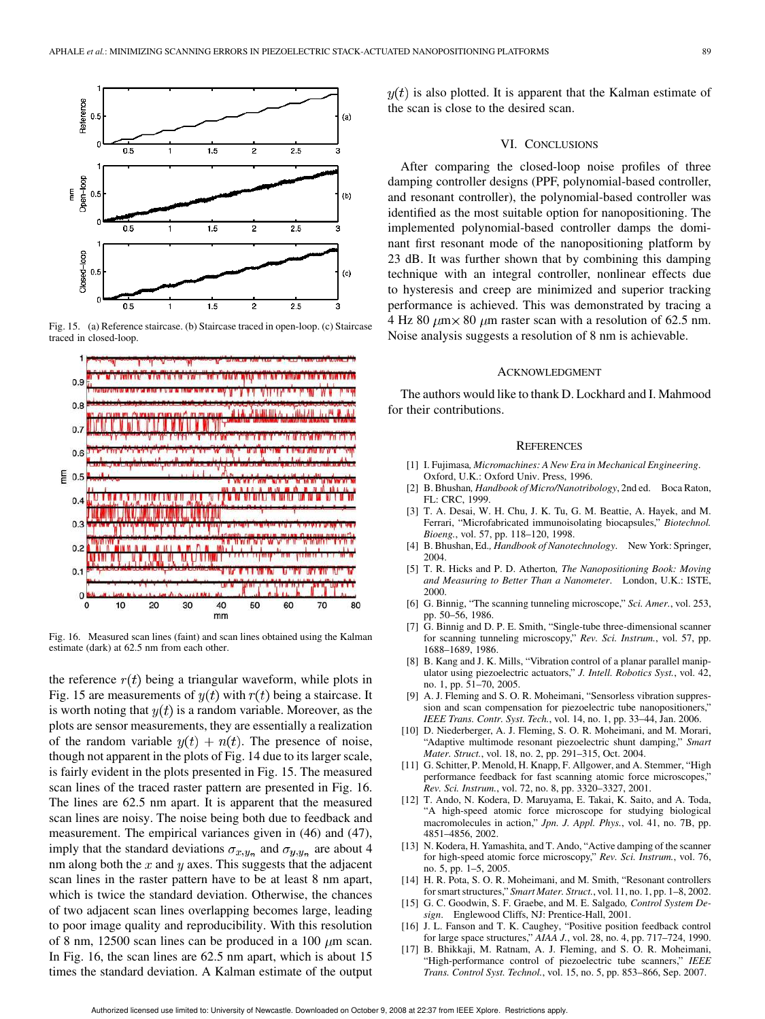

Fig. 15. (a) Reference staircase. (b) Staircase traced in open-loop. (c) Staircase traced in closed-loop.



Fig. 16. Measured scan lines (faint) and scan lines obtained using the Kalman estimate (dark) at 62.5 nm from each other.

the reference  $r(t)$  being a triangular waveform, while plots in Fig. 15 are measurements of  $y(t)$  with  $r(t)$  being a staircase. It is worth noting that  $y(t)$  is a random variable. Moreover, as the plots are sensor measurements, they are essentially a realization of the random variable  $y(t) + n(t)$ . The presence of noise, though not apparent in the plots of Fig. 14 due to its larger scale, is fairly evident in the plots presented in Fig. 15. The measured scan lines of the traced raster pattern are presented in Fig. 16. The lines are 62.5 nm apart. It is apparent that the measured scan lines are noisy. The noise being both due to feedback and measurement. The empirical variances given in (46) and (47), imply that the standard deviations  $\sigma_{x,y_n}$  and  $\sigma_{y,y_n}$  are about 4 nm along both the  $x$  and  $y$  axes. This suggests that the adjacent scan lines in the raster pattern have to be at least 8 nm apart, which is twice the standard deviation. Otherwise, the chances of two adjacent scan lines overlapping becomes large, leading to poor image quality and reproducibility. With this resolution of 8 nm, 12500 scan lines can be produced in a 100  $\mu$ m scan. In Fig. 16, the scan lines are 62.5 nm apart, which is about 15 times the standard deviation. A Kalman estimate of the output

 $y(t)$  is also plotted. It is apparent that the Kalman estimate of the scan is close to the desired scan.

#### VI. CONCLUSIONS

After comparing the closed-loop noise profiles of three damping controller designs (PPF, polynomial-based controller, and resonant controller), the polynomial-based controller was identified as the most suitable option for nanopositioning. The implemented polynomial-based controller damps the dominant first resonant mode of the nanopositioning platform by 23 dB. It was further shown that by combining this damping technique with an integral controller, nonlinear effects due to hysteresis and creep are minimized and superior tracking performance is achieved. This was demonstrated by tracing a 4 Hz 80  $\mu$ m × 80  $\mu$ m raster scan with a resolution of 62.5 nm. Noise analysis suggests a resolution of 8 nm is achievable.

#### ACKNOWLEDGMENT

The authors would like to thank D. Lockhard and I. Mahmood for their contributions.

#### **REFERENCES**

- [1] I. Fujimasa*, Micromachines: A New Era in Mechanical Engineering*. Oxford, U.K.: Oxford Univ. Press, 1996.
- [2] B. Bhushan*, Handbook of Micro/Nanotribology*, 2nd ed. Boca Raton, FL: CRC, 1999.
- [3] T. A. Desai, W. H. Chu, J. K. Tu, G. M. Beattie, A. Hayek, and M. Ferrari, "Microfabricated immunoisolating biocapsules," *Biotechnol. Bioeng.*, vol. 57, pp. 118–120, 1998.
- [4] B. Bhushan, Ed.*, Handbook of Nanotechnology*. New York: Springer, 2004.
- [5] T. R. Hicks and P. D. Atherton*, The Nanopositioning Book: Moving and Measuring to Better Than a Nanometer*. London, U.K.: ISTE, 2000.
- [6] G. Binnig, "The scanning tunneling microscope," *Sci. Amer.*, vol. 253, pp. 50–56, 1986.
- [7] G. Binnig and D. P. E. Smith, "Single-tube three-dimensional scanner for scanning tunneling microscopy," *Rev. Sci. Instrum.*, vol. 57, pp. 1688–1689, 1986.
- [8] B. Kang and J. K. Mills, "Vibration control of a planar parallel manipulator using piezoelectric actuators," *J. Intell. Robotics Syst.*, vol. 42, no. 1, pp. 51–70, 2005.
- [9] A. J. Fleming and S. O. R. Moheimani, "Sensorless vibration suppression and scan compensation for piezoelectric tube nanopositioners," *IEEE Trans. Contr. Syst. Tech.*, vol. 14, no. 1, pp. 33–44, Jan. 2006.
- [10] D. Niederberger, A. J. Fleming, S. O. R. Moheimani, and M. Morari, "Adaptive multimode resonant piezoelectric shunt damping," *Smart Mater. Struct.*, vol. 18, no. 2, pp. 291–315, Oct. 2004.
- [11] G. Schitter, P. Menold, H. Knapp, F. Allgower, and A. Stemmer, "High performance feedback for fast scanning atomic force microscopes," *Rev. Sci. Instrum.*, vol. 72, no. 8, pp. 3320–3327, 2001.
- [12] T. Ando, N. Kodera, D. Maruyama, E. Takai, K. Saito, and A. Toda, "A high-speed atomic force microscope for studying biological macromolecules in action," *Jpn. J. Appl. Phys.*, vol. 41, no. 7B, pp. 4851–4856, 2002.
- [13] N. Kodera, H. Yamashita, and T. Ando, "Active damping of the scanner for high-speed atomic force microscopy," *Rev. Sci. Instrum.*, vol. 76, no. 5, pp. 1–5, 2005.
- [14] H. R. Pota, S. O. R. Moheimani, and M. Smith, "Resonant controllers for smart structures," *Smart Mater. Struct.*, vol. 11, no. 1, pp. 1–8, 2002.
- [15] G. C. Goodwin, S. F. Graebe, and M. E. Salgado, *Control System Design*. Englewood Cliffs, NJ: Prentice-Hall, 2001.
- [16] J. L. Fanson and T. K. Caughey, "Positive position feedback control for large space structures," *AIAA J.*, vol. 28, no. 4, pp. 717–724, 1990.
- B. Bhikkaji, M. Ratnam, A. J. Fleming, and S. O. R. Moheimani, "High-performance control of piezoelectric tube scanners," *IEEE Trans. Control Syst. Technol.*, vol. 15, no. 5, pp. 853–866, Sep. 2007.